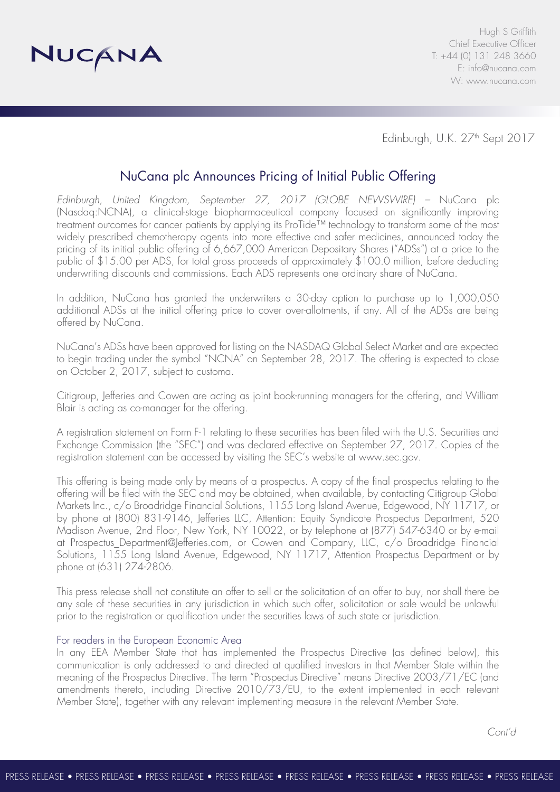

Edinburgh, U.K. 27<sup>th</sup> Sept 2017

# NuCana plc Announces Pricing of Initial Public Offering

*Edinburgh, United Kingdom, September 27, 2017 (GLOBE NEWSWIRE) –* NuCana plc (Nasdaq:NCNA), a clinical-stage biopharmaceutical company focused on significantly improving treatment outcomes for cancer patients by applying its ProTide™ technology to transform some of the most widely prescribed chemotherapy agents into more effective and safer medicines, announced today the pricing of its initial public offering of 6,667,000 American Depositary Shares ("ADSs") at a price to the public of \$15.00 per ADS, for total gross proceeds of approximately \$100.0 million, before deducting underwriting discounts and commissions. Each ADS represents one ordinary share of NuCana.

In addition, NuCana has granted the underwriters a 30-day option to purchase up to 1,000,050 additional ADSs at the initial offering price to cover over-allotments, if any. All of the ADSs are being offered by NuCana.

NuCana's ADSs have been approved for listing on the NASDAQ Global Select Market and are expected to begin trading under the symbol "NCNA" on September 28, 2017. The offering is expected to close on October 2, 2017, subject to customa.

Citigroup, Jefferies and Cowen are acting as joint book-running managers for the offering, and William Blair is acting as co-manager for the offering.

A registration statement on Form F-1 relating to these securities has been filed with the U.S. Securities and Exchange Commission (the "SEC") and was declared effective on September 27, 2017. Copies of the registration statement can be accessed by visiting the SEC's website at www.sec.gov.

This offering is being made only by means of a prospectus. A copy of the final prospectus relating to the offering will be filed with the SEC and may be obtained, when available, by contacting Citigroup Global Markets Inc., c/o Broadridge Financial Solutions, 1155 Long Island Avenue, Edgewood, NY 11717, or by phone at (800) 831-9146, Jefferies LLC, Attention: Equity Syndicate Prospectus Department, 520 Madison Avenue, 2nd Floor, New York, NY 10022, or by telephone at (877) 547-6340 or by e-mail at Prospectus Department@Jefferies.com, or Cowen and Company, LLC, c/o Broadridge Financial Solutions, 1155 Long Island Avenue, Edgewood, NY 11717, Attention Prospectus Department or by phone at (631) 274-2806.

This press release shall not constitute an offer to sell or the solicitation of an offer to buy, nor shall there be any sale of these securities in any jurisdiction in which such offer, solicitation or sale would be unlawful prior to the registration or qualification under the securities laws of such state or jurisdiction.

## For readers in the European Economic Area

In any EEA Member State that has implemented the Prospectus Directive (as defined below), this communication is only addressed to and directed at qualified investors in that Member State within the meaning of the Prospectus Directive. The term "Prospectus Directive" means Directive 2003/71/EC (and amendments thereto, including Directive 2010/73/EU, to the extent implemented in each relevant Member State), together with any relevant implementing measure in the relevant Member State.

*Cont'd*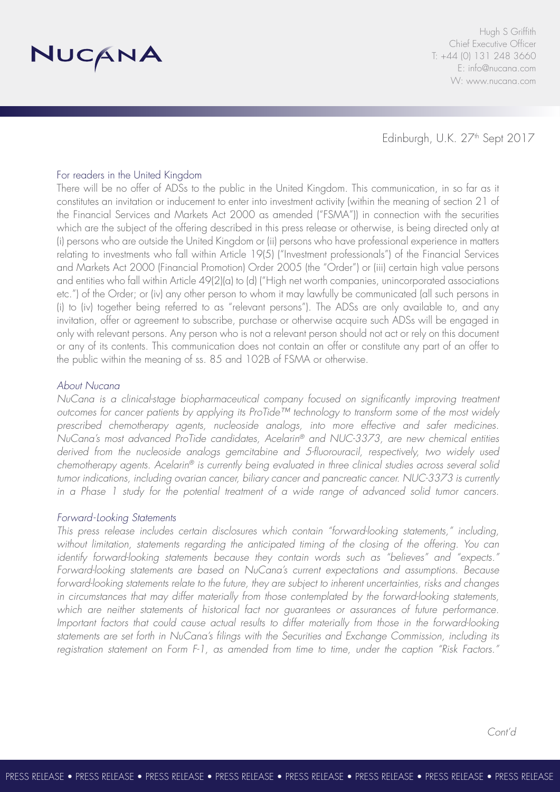

Hugh S Griffith Chief Executive Officer T: +44 (0) 131 248 3660 E: info@nucana.com W: www.nucana.com

Edinburgh, U.K. 27<sup>th</sup> Sept 2017

# For readers in the United Kingdom

There will be no offer of ADSs to the public in the United Kingdom. This communication, in so far as it constitutes an invitation or inducement to enter into investment activity (within the meaning of section 21 of the Financial Services and Markets Act 2000 as amended ("FSMA")) in connection with the securities which are the subject of the offering described in this press release or otherwise, is being directed only at (i) persons who are outside the United Kingdom or (ii) persons who have professional experience in matters relating to investments who fall within Article 19(5) ("Investment professionals") of the Financial Services and Markets Act 2000 (Financial Promotion) Order 2005 (the "Order") or (iii) certain high value persons and entities who fall within Article 49(2)(a) to (d) ("High net worth companies, unincorporated associations etc.") of the Order; or (iv) any other person to whom it may lawfully be communicated (all such persons in (i) to (iv) together being referred to as "relevant persons"). The ADSs are only available to, and any invitation, offer or agreement to subscribe, purchase or otherwise acquire such ADSs will be engaged in only with relevant persons. Any person who is not a relevant person should not act or rely on this document or any of its contents. This communication does not contain an offer or constitute any part of an offer to the public within the meaning of ss. 85 and 102B of FSMA or otherwise.

### *About Nucana*

*NuCana is a clinical-stage biopharmaceutical company focused on significantly improving treatment outcomes for cancer patients by applying its ProTide™ technology to transform some of the most widely prescribed chemotherapy agents, nucleoside analogs, into more effective and safer medicines. NuCana's most advanced ProTide candidates, Acelarin® and NUC-3373, are new chemical entities derived from the nucleoside analogs gemcitabine and 5-fluorouracil, respectively, two widely used chemotherapy agents. Acelarin® is currently being evaluated in three clinical studies across several solid tumor indications, including ovarian cancer, biliary cancer and pancreatic cancer. NUC-3373 is currently in a Phase 1 study for the potential treatment of a wide range of advanced solid tumor cancers.*

#### *Forward-Looking Statements*

*This press release includes certain disclosures which contain "forward-looking statements," including, without limitation, statements regarding the anticipated timing of the closing of the offering. You can identify forward-looking statements because they contain words such as "believes" and "expects." Forward-looking statements are based on NuCana's current expectations and assumptions. Because forward-looking statements relate to the future, they are subject to inherent uncertainties, risks and changes*  in circumstances that may differ materially from those contemplated by the forward-looking statements, *which are neither statements of historical fact nor guarantees or assurances of future performance. Important factors that could cause actual results to differ materially from those in the forward-looking statements are set forth in NuCana's filings with the Securities and Exchange Commission, including its registration statement on Form F-1, as amended from time to time, under the caption "Risk Factors."*

*Cont'd*